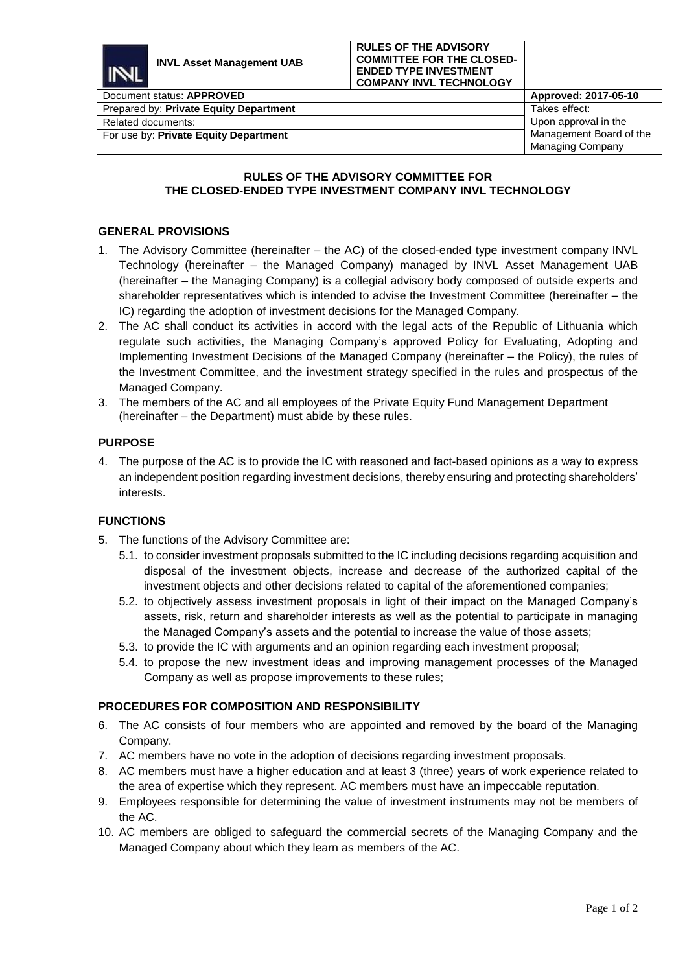

Related documents:

# **RULES OF THE ADVISORY COMMITTEE FOR**

# **THE CLOSED-ENDED TYPE INVESTMENT COMPANY INVL TECHNOLOGY**

### **GENERAL PROVISIONS**

For use by: **Private Equity Department**

- 1. The Advisory Committee (hereinafter the AC) of the closed-ended type investment company INVL Technology (hereinafter – the Managed Company) managed by INVL Asset Management UAB (hereinafter – the Managing Company) is a collegial advisory body composed of outside experts and shareholder representatives which is intended to advise the Investment Committee (hereinafter – the IC) regarding the adoption of investment decisions for the Managed Company.
- 2. The AC shall conduct its activities in accord with the legal acts of the Republic of Lithuania which regulate such activities, the Managing Company's approved Policy for Evaluating, Adopting and Implementing Investment Decisions of the Managed Company (hereinafter – the Policy), the rules of the Investment Committee, and the investment strategy specified in the rules and prospectus of the Managed Company.
- 3. The members of the AC and all employees of the Private Equity Fund Management Department (hereinafter – the Department) must abide by these rules.

#### **PURPOSE**

4. The purpose of the AC is to provide the IC with reasoned and fact-based opinions as a way to express an independent position regarding investment decisions, thereby ensuring and protecting shareholders' interests.

#### **FUNCTIONS**

- 5. The functions of the Advisory Committee are:
	- 5.1. to consider investment proposals submitted to the IC including decisions regarding acquisition and disposal of the investment objects, increase and decrease of the authorized capital of the investment objects and other decisions related to capital of the aforementioned companies;
	- 5.2. to objectively assess investment proposals in light of their impact on the Managed Company's assets, risk, return and shareholder interests as well as the potential to participate in managing the Managed Company's assets and the potential to increase the value of those assets;
	- 5.3. to provide the IC with arguments and an opinion regarding each investment proposal;
	- 5.4. to propose the new investment ideas and improving management processes of the Managed Company as well as propose improvements to these rules;

#### **PROCEDURES FOR COMPOSITION AND RESPONSIBILITY**

- 6. The AC consists of four members who are appointed and removed by the board of the Managing Company.
- 7. AC members have no vote in the adoption of decisions regarding investment proposals.
- 8. AC members must have a higher education and at least 3 (three) years of work experience related to the area of expertise which they represent. AC members must have an impeccable reputation.
- 9. Employees responsible for determining the value of investment instruments may not be members of the AC.
- 10. AC members are obliged to safeguard the commercial secrets of the Managing Company and the Managed Company about which they learn as members of the AC.